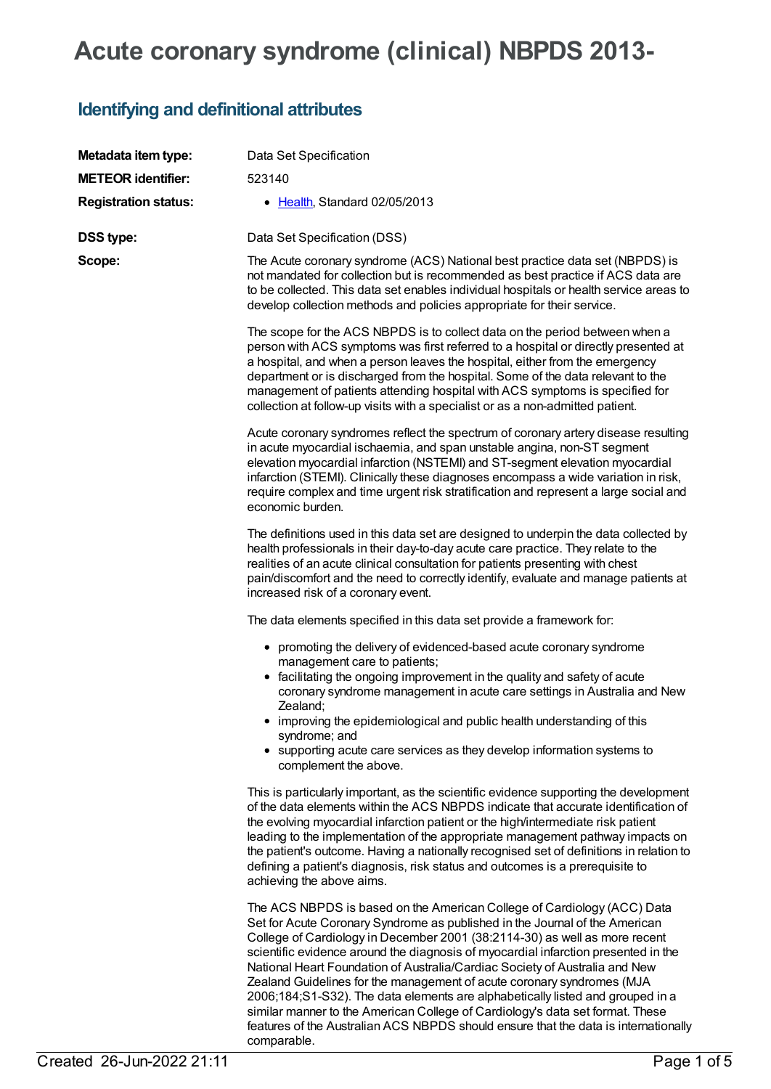## **Acute coronary syndrome (clinical) NBPDS 2013-**

## **Identifying and definitional attributes**

| Metadata item type:         | Data Set Specification                                                                                                                                                                                                                                                                                                                                                                                                                                                                                                                                                                                                                                                                                                                                       |
|-----------------------------|--------------------------------------------------------------------------------------------------------------------------------------------------------------------------------------------------------------------------------------------------------------------------------------------------------------------------------------------------------------------------------------------------------------------------------------------------------------------------------------------------------------------------------------------------------------------------------------------------------------------------------------------------------------------------------------------------------------------------------------------------------------|
| <b>METEOR identifier:</b>   | 523140                                                                                                                                                                                                                                                                                                                                                                                                                                                                                                                                                                                                                                                                                                                                                       |
| <b>Registration status:</b> | • Health, Standard 02/05/2013                                                                                                                                                                                                                                                                                                                                                                                                                                                                                                                                                                                                                                                                                                                                |
| <b>DSS type:</b>            | Data Set Specification (DSS)                                                                                                                                                                                                                                                                                                                                                                                                                                                                                                                                                                                                                                                                                                                                 |
| Scope:                      | The Acute coronary syndrome (ACS) National best practice data set (NBPDS) is<br>not mandated for collection but is recommended as best practice if ACS data are<br>to be collected. This data set enables individual hospitals or health service areas to<br>develop collection methods and policies appropriate for their service.                                                                                                                                                                                                                                                                                                                                                                                                                          |
|                             | The scope for the ACS NBPDS is to collect data on the period between when a<br>person with ACS symptoms was first referred to a hospital or directly presented at<br>a hospital, and when a person leaves the hospital, either from the emergency<br>department or is discharged from the hospital. Some of the data relevant to the<br>management of patients attending hospital with ACS symptoms is specified for<br>collection at follow-up visits with a specialist or as a non-admitted patient.                                                                                                                                                                                                                                                       |
|                             | Acute coronary syndromes reflect the spectrum of coronary artery disease resulting<br>in acute myocardial ischaemia, and span unstable angina, non-ST segment<br>elevation myocardial infarction (NSTEMI) and ST-segment elevation myocardial<br>infarction (STEMI). Clinically these diagnoses encompass a wide variation in risk,<br>require complex and time urgent risk stratification and represent a large social and<br>economic burden.                                                                                                                                                                                                                                                                                                              |
|                             | The definitions used in this data set are designed to underpin the data collected by<br>health professionals in their day-to-day acute care practice. They relate to the<br>realities of an acute clinical consultation for patients presenting with chest<br>pain/discomfort and the need to correctly identify, evaluate and manage patients at<br>increased risk of a coronary event.                                                                                                                                                                                                                                                                                                                                                                     |
|                             | The data elements specified in this data set provide a framework for:                                                                                                                                                                                                                                                                                                                                                                                                                                                                                                                                                                                                                                                                                        |
|                             | • promoting the delivery of evidenced-based acute coronary syndrome<br>management care to patients;<br>• facilitating the ongoing improvement in the quality and safety of acute<br>coronary syndrome management in acute care settings in Australia and New<br>Zealand;<br>• improving the epidemiological and public health understanding of this<br>syndrome; and<br>• supporting acute care services as they develop information systems to<br>complement the above.                                                                                                                                                                                                                                                                                     |
|                             | This is particularly important, as the scientific evidence supporting the development<br>of the data elements within the ACS NBPDS indicate that accurate identification of<br>the evolving myocardial infarction patient or the high/intermediate risk patient<br>leading to the implementation of the appropriate management pathway impacts on<br>the patient's outcome. Having a nationally recognised set of definitions in relation to<br>defining a patient's diagnosis, risk status and outcomes is a prerequisite to<br>achieving the above aims.                                                                                                                                                                                                   |
|                             | The ACS NBPDS is based on the American College of Cardiology (ACC) Data<br>Set for Acute Coronary Syndrome as published in the Journal of the American<br>College of Cardiology in December 2001 (38:2114-30) as well as more recent<br>scientific evidence around the diagnosis of myocardial infarction presented in the<br>National Heart Foundation of Australia/Cardiac Society of Australia and New<br>Zealand Guidelines for the management of acute coronary syndromes (MJA<br>2006;184;S1-S32). The data elements are alphabetically listed and grouped in a<br>similar manner to the American College of Cardiology's data set format. These<br>features of the Australian ACS NBPDS should ensure that the data is internationally<br>comparable. |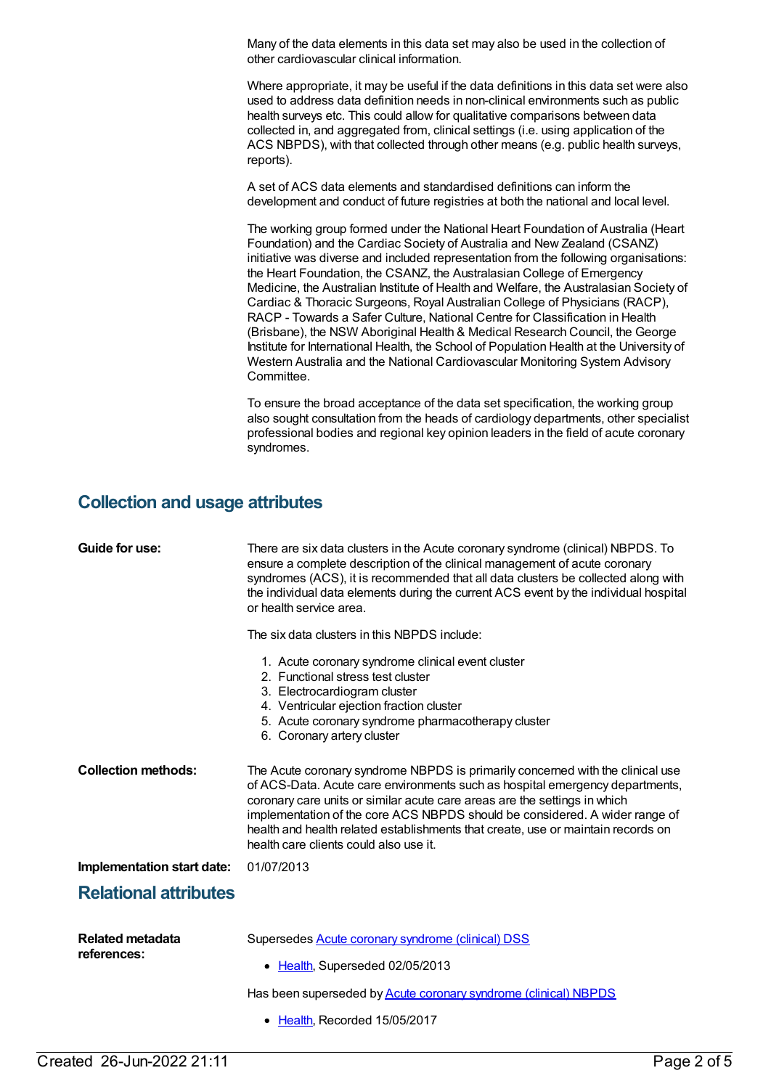Many of the data elements in this data set may also be used in the collection of other cardiovascular clinical information.

Where appropriate, it may be useful if the data definitions in this data set were also used to address data definition needs in non-clinical environments such as public health surveys etc. This could allow for qualitative comparisons between data collected in, and aggregated from, clinical settings (i.e. using application of the ACS NBPDS), with that collected through other means (e.g. public health surveys, reports).

A set of ACS data elements and standardised definitions can inform the development and conduct of future registries at both the national and local level.

The working group formed under the National Heart Foundation of Australia (Heart Foundation) and the Cardiac Society of Australia and New Zealand (CSANZ) initiative was diverse and included representation from the following organisations: the Heart Foundation, the CSANZ, the Australasian College of Emergency Medicine, the Australian Institute of Health and Welfare, the Australasian Society of Cardiac & Thoracic Surgeons, Royal Australian College of Physicians (RACP), RACP - Towards a Safer Culture, National Centre for Classification in Health (Brisbane), the NSW Aboriginal Health & Medical Research Council, the George Institute for International Health, the School of Population Health at the University of Western Australia and the National Cardiovascular Monitoring System Advisory Committee.

To ensure the broad acceptance of the data set specification, the working group also sought consultation from the heads of cardiology departments, other specialist professional bodies and regional key opinion leaders in the field of acute coronary syndromes.

## **Collection and usage attributes**

| Guide for use:                         | There are six data clusters in the Acute coronary syndrome (clinical) NBPDS. To<br>ensure a complete description of the clinical management of acute coronary<br>syndromes (ACS), it is recommended that all data clusters be collected along with<br>the individual data elements during the current ACS event by the individual hospital<br>or health service area.                                                                                    |
|----------------------------------------|----------------------------------------------------------------------------------------------------------------------------------------------------------------------------------------------------------------------------------------------------------------------------------------------------------------------------------------------------------------------------------------------------------------------------------------------------------|
|                                        | The six data clusters in this NBPDS include:                                                                                                                                                                                                                                                                                                                                                                                                             |
|                                        | 1. Acute coronary syndrome clinical event cluster<br>2. Functional stress test cluster<br>3. Electrocardiogram cluster<br>4. Ventricular ejection fraction cluster<br>5. Acute coronary syndrome pharmacotherapy cluster<br>6. Coronary artery cluster                                                                                                                                                                                                   |
| <b>Collection methods:</b>             | The Acute coronary syndrome NBPDS is primarily concerned with the clinical use<br>of ACS-Data. Acute care environments such as hospital emergency departments,<br>coronary care units or similar acute care areas are the settings in which<br>implementation of the core ACS NBPDS should be considered. A wider range of<br>health and health related establishments that create, use or maintain records on<br>health care clients could also use it. |
| Implementation start date:             | 01/07/2013                                                                                                                                                                                                                                                                                                                                                                                                                                               |
| <b>Relational attributes</b>           |                                                                                                                                                                                                                                                                                                                                                                                                                                                          |
| <b>Related metadata</b><br>references: | Supersedes <b>Acute coronary syndrome (clinical) DSS</b><br>• Health, Superseded 02/05/2013<br>Has been superseded by <b>Acute coronary syndrome (clinical) NBPDS</b><br>• Health, Recorded 15/05/2017                                                                                                                                                                                                                                                   |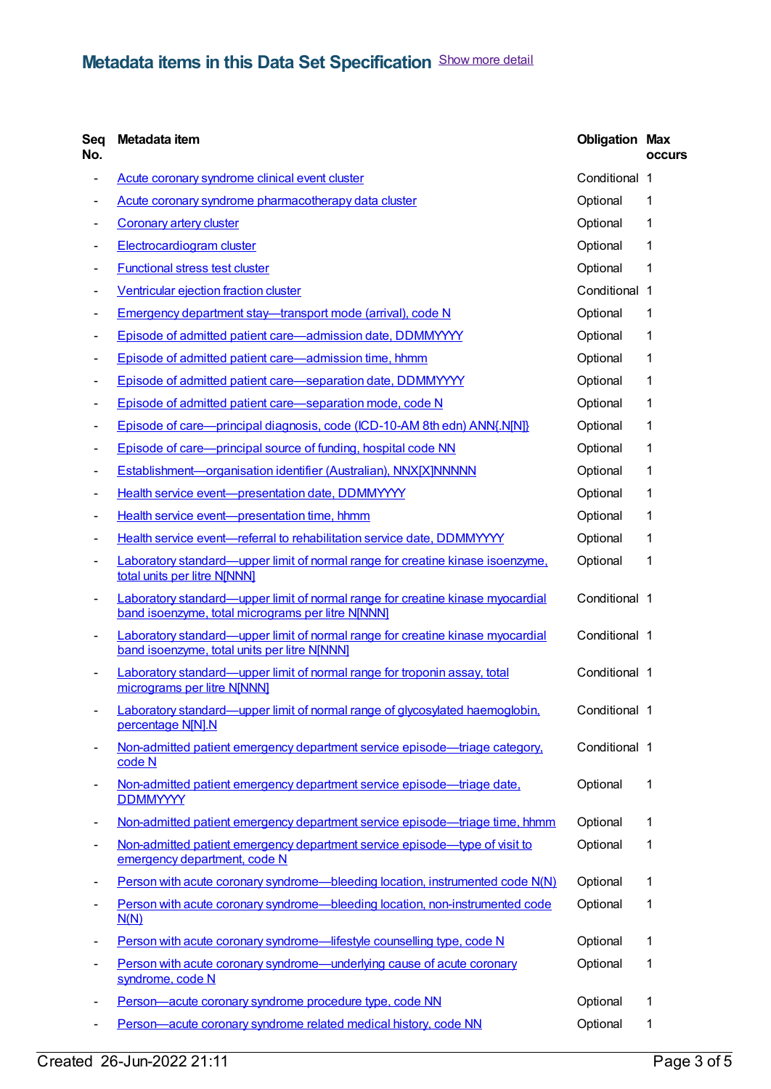| Seq<br>No. | Metadata item                                                                                                                              | <b>Obligation Max</b> | <b>occurs</b> |
|------------|--------------------------------------------------------------------------------------------------------------------------------------------|-----------------------|---------------|
| -          | Acute coronary syndrome clinical event cluster                                                                                             | Conditional 1         |               |
|            | Acute coronary syndrome pharmacotherapy data cluster                                                                                       | Optional              | 1             |
|            | <b>Coronary artery cluster</b>                                                                                                             | Optional              | 1             |
|            | <b>Electrocardiogram cluster</b>                                                                                                           | Optional              | 1             |
|            | <b>Functional stress test cluster</b>                                                                                                      | Optional              | 1             |
| -          | Ventricular ejection fraction cluster                                                                                                      | Conditional 1         |               |
|            | Emergency department stay-transport mode (arrival), code N                                                                                 | Optional              | 1             |
|            | Episode of admitted patient care-admission date, DDMMYYYY                                                                                  | Optional              | 1             |
|            | Episode of admitted patient care-admission time, hhmm                                                                                      | Optional              | 1             |
| -          | Episode of admitted patient care-separation date, DDMMYYYY                                                                                 | Optional              | 1             |
| -          | Episode of admitted patient care-separation mode, code N                                                                                   | Optional              | 1             |
| -          | Episode of care—principal diagnosis, code (ICD-10-AM 8th edn) ANN{.N[N]}                                                                   | Optional              | 1             |
|            | Episode of care—principal source of funding, hospital code NN                                                                              | Optional              | 1             |
| -          | Establishment-organisation identifier (Australian), NNX[X]NNNNN                                                                            | Optional              | 1             |
|            | Health service event-presentation date, DDMMYYYY                                                                                           | Optional              | 1             |
|            | Health service event-presentation time, hhmm                                                                                               | Optional              | 1             |
|            | Health service event-referral to rehabilitation service date, DDMMYYYY                                                                     | Optional              | 1             |
|            | Laboratory standard—upper limit of normal range for creatine kinase isoenzyme,<br>total units per litre N[NNN]                             | Optional              | 1             |
| -          | <b>Laboratory standard—upper limit of normal range for creatine kinase myocardial</b><br>band isoenzyme, total micrograms per litre NJNNN] | Conditional 1         |               |
| -          | Laboratory standard—upper limit of normal range for creatine kinase myocardial<br>band isoenzyme, total units per litre N[NNN]             | Conditional 1         |               |
| -          | Laboratory standard—upper limit of normal range for troponin assay, total<br>micrograms per litre N[NNN]                                   | Conditional 1         |               |
|            | Laboratory standard—upper limit of normal range of glycosylated haemoglobin.<br>percentage N[N].N                                          | Conditional 1         |               |
|            | Non-admitted patient emergency department service episode—triage category,<br>code N                                                       | Conditional 1         |               |
|            | Non-admitted patient emergency department service episode—triage date,<br><b>DDMMYYYY</b>                                                  | Optional              | 1             |
| -          | Non-admitted patient emergency department service episode—triage time, hhmm                                                                | Optional              | 1             |
|            | Non-admitted patient emergency department service episode—type of visit to<br>emergency department, code N                                 | Optional              | 1             |
|            | Person with acute coronary syndrome—bleeding location, instrumented code N(N)                                                              | Optional              | 1             |
|            | Person with acute coronary syndrome—bleeding location, non-instrumented code<br>N(N)                                                       | Optional              | 1             |
|            | Person with acute coronary syndrome-lifestyle counselling type, code N                                                                     | Optional              | $\mathbf 1$   |
|            | Person with acute coronary syndrome—underlying cause of acute coronary<br>syndrome, code N                                                 | Optional              | 1             |
|            | Person-acute coronary syndrome procedure type, code NN                                                                                     | Optional              | 1             |
| -          | Person-acute coronary syndrome related medical history, code NN                                                                            | Optional              | 1             |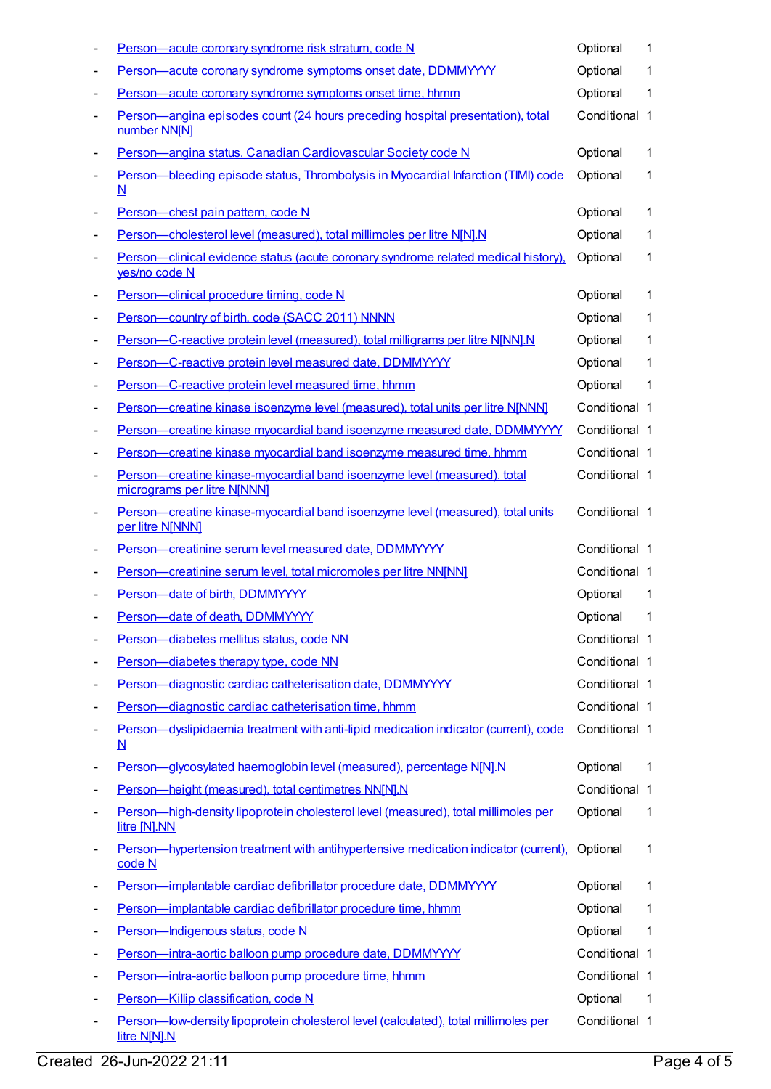|   | Person-acute coronary syndrome risk stratum, code N                                                             | Optional      | 1  |
|---|-----------------------------------------------------------------------------------------------------------------|---------------|----|
|   | Person-acute coronary syndrome symptoms onset date, DDMMYYYY                                                    | Optional      | 1  |
|   | Person-acute coronary syndrome symptoms onset time, hhmm                                                        | Optional      | 1  |
|   | Person-angina episodes count (24 hours preceding hospital presentation), total<br>number NN[N]                  | Conditional 1 |    |
|   | Person-angina status, Canadian Cardiovascular Society code N                                                    | Optional      | 1  |
|   | Person-bleeding episode status, Thrombolysis in Myocardial Infarction (TIMI) code<br>N                          | Optional      | 1  |
|   | Person-chest pain pattern, code N                                                                               | Optional      | 1  |
|   | Person-cholesterol level (measured), total millimoles per litre N[N].N                                          | Optional      | 1  |
|   | Person-clinical evidence status (acute coronary syndrome related medical history),<br>yes/no code N             | Optional      | 1  |
|   | Person-clinical procedure timing, code N                                                                        | Optional      | 1  |
|   | Person-country of birth, code (SACC 2011) NNNN                                                                  | Optional      | 1  |
|   | Person-C-reactive protein level (measured), total milligrams per litre N[NN].N                                  | Optional      | 1  |
|   | Person-C-reactive protein level measured date, DDMMYYYY                                                         | Optional      | 1  |
|   | Person-C-reactive protein level measured time, hhmm                                                             | Optional      | 1  |
| ٠ | Person-creatine kinase isoenzyme level (measured), total units per litre N[NNN]                                 | Conditional 1 |    |
|   | Person-creatine kinase myocardial band isoenzyme measured date, DDMMYYYY                                        | Conditional 1 |    |
|   | Person-creatine kinase myocardial band isoenzyme measured time, hhmm                                            | Conditional 1 |    |
|   | Person-creatine kinase-myocardial band isoenzyme level (measured), total<br>micrograms per litre N[NNN]         | Conditional 1 |    |
|   | Person-creatine kinase-myocardial band isoenzyme level (measured), total units<br>per litre N[NNN]              | Conditional 1 |    |
|   | Person-creatinine serum level measured date, DDMMYYYY                                                           | Conditional 1 |    |
|   | Person-creatinine serum level, total micromoles per litre NN[NN]                                                | Conditional 1 |    |
|   | Person-date of birth, DDMMYYYY                                                                                  | Optional      | 1  |
|   | Person-date of death, DDMMYYYY                                                                                  | Optional      | 1  |
|   | Person-diabetes mellitus status, code NN                                                                        | Conditional 1 |    |
|   | Person-diabetes therapy type, code NN                                                                           | Conditional 1 |    |
| ٠ | Person-diagnostic cardiac catheterisation date, DDMMYYYY                                                        | Conditional 1 |    |
|   | Person-diagnostic cardiac catheterisation time, hhmm                                                            | Conditional 1 |    |
|   | Person-dyslipidaemia treatment with anti-lipid medication indicator (current), code<br>$\underline{\mathsf{N}}$ | Conditional 1 |    |
|   | Person-glycosylated haemoglobin level (measured), percentage N[N].N                                             | Optional      | 1  |
|   | Person-height (measured), total centimetres NN[N].N                                                             | Conditional 1 |    |
|   | Person-high-density lipoprotein cholesterol level (measured), total millimoles per<br>litre [N].NN              | Optional      | 1  |
|   | Person—hypertension treatment with antihypertensive medication indicator (current),<br>code N                   | Optional      | 1  |
|   | Person-implantable cardiac defibrillator procedure date, DDMMYYYY                                               | Optional      | 1  |
|   | Person-implantable cardiac defibrillator procedure time, hhmm                                                   | Optional      | 1  |
|   | Person-Indigenous status, code N                                                                                | Optional      | 1  |
|   | Person-intra-aortic balloon pump procedure date, DDMMYYYY                                                       | Conditional 1 |    |
|   | Person-intra-aortic balloon pump procedure time, hhmm                                                           | Conditional 1 |    |
|   | Person-Killip classification, code N                                                                            | Optional      | -1 |
|   | Person-low-density lipoprotein cholesterol level (calculated), total millimoles per<br>litre N[N].N             | Conditional 1 |    |